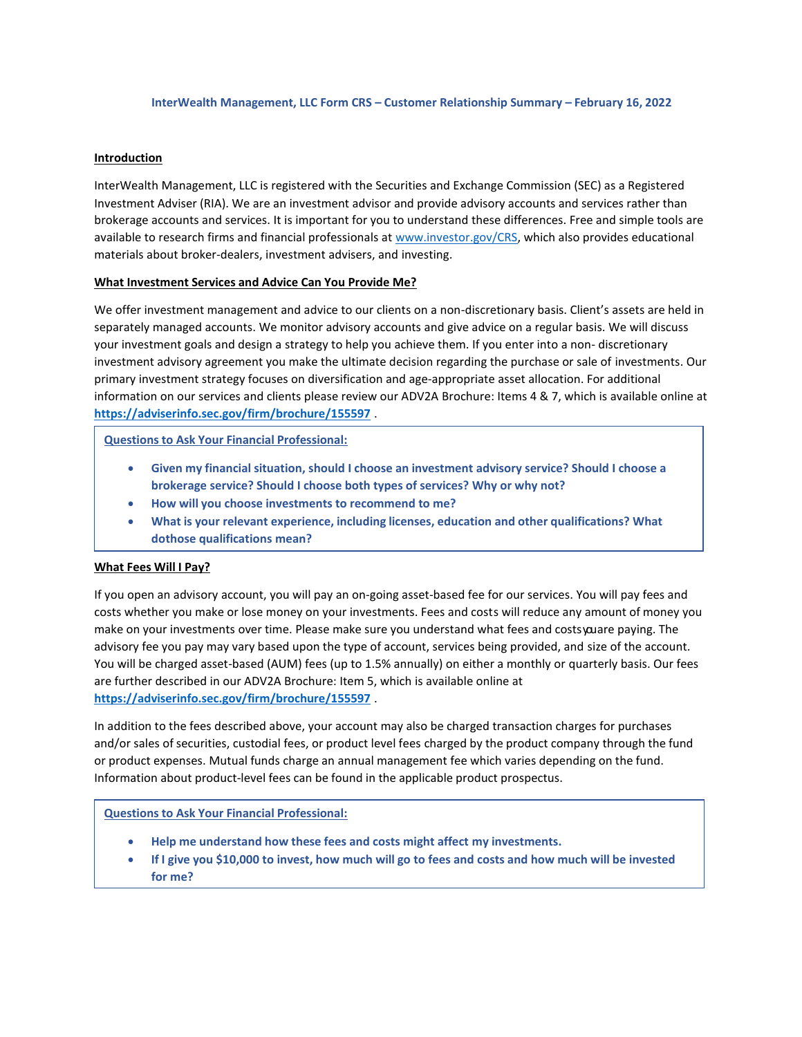### **InterWealth Management, LLC Form CRS – Customer Relationship Summary – February 16, 2022**

### **Introduction**

InterWealth Management, LLC is registered with the Securities and Exchange Commission (SEC) as a Registered Investment Adviser (RIA). We are an investment advisor and provide advisory accounts and services rather than brokerage accounts and services. It is important for you to understand these differences. Free and simple tools are available to research firms and financial professionals at [www.investor.gov/CRS, w](http://www.investor.gov/CRS)hich also provides educational materials about broker-dealers, investment advisers, and investing.

### **What Investment Services and Advice Can You Provide Me?**

We offer investment management and advice to our clients on a non-discretionary basis. Client's assets are held in separately managed accounts. We monitor advisory accounts and give advice on a regular basis. We will discuss your investment goals and design a strategy to help you achieve them. If you enter into a non- discretionary investment advisory agreement you make the ultimate decision regarding the purchase or sale of investments. Our primary investment strategy focuses on diversification and age-appropriate asset allocation. For additional information on our services and clients please review our ADV2A Brochure: Items 4 & 7, which is available online at **<https://adviserinfo.sec.gov/firm/brochure/155597>** .

**Questions to Ask Your Financial Professional:**

- **Given my financial situation, should I choose an investment advisory service? Should I choose a brokerage service? Should I choose both types of services? Why or why not?**
- **How will you choose investments to recommend to me?**
- **What is your relevant experience, including licenses, education and other qualifications? What dothose qualifications mean?**

### **What Fees Will I Pay?**

If you open an advisory account, you will pay an on-going asset-based fee for our services. You will pay fees and costs whether you make or lose money on your investments. Fees and costs will reduce any amount of money you make on your investments over time. Please make sure you understand what fees and costs youare paying. The advisory fee you pay may vary based upon the type of account, services being provided, and size of the account. You will be charged asset-based (AUM) fees (up to 1.5% annually) on either a monthly or quarterly basis. Our fees are further described in our ADV2A Brochure: Item 5, which is available online at **<https://adviserinfo.sec.gov/firm/brochure/155597>** .

In addition to the fees described above, your account may also be charged transaction charges for purchases and/or sales of securities, custodial fees, or product level fees charged by the product company through the fund or product expenses. Mutual funds charge an annual management fee which varies depending on the fund. Information about product-level fees can be found in the applicable product prospectus.

### **Questions to Ask Your Financial Professional:**

- **Help me understand how these fees and costs might affect my investments.**
- If I give you \$10,000 to invest, how much will go to fees and costs and how much will be invested **for me?**